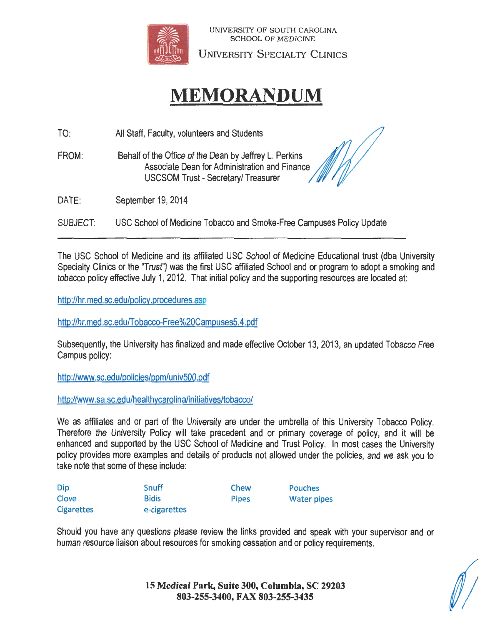

UNIVERSI1Y OF SOUTH CAROLINA SCHOOL OF MEDICINE

UNIVERSITY SPECIALTY CLINICS

# **MEMORANDUM**

TO: All Staff, Faculty, volunteers and Students

FROM: Behalf of the Office of the Dean by Jeffrey L. Perkins Associate Dean for Administration and Finance USCSOM Trust - Secretary/ Treasurer

DATE: September 19, 2014

SUBJECT: USC School of Medicine Tobacco and Smoke-Free Campuses Policy Update

The USC School of Medicine and its affiliated USC School of Medicine Educational trust (dba University Specialty Clinics or the "Trust") was the first USC affiliated School and or program to adopt a smoking and tobacco policy effective July 1, 2012. That initial policy and the supporting resources are located at:

http://hr.med.sc.edu/policy.procedures.asp

http://hr.med.sc.edu/Tobacco-Free%20Campuses5.4.pdf

Subsequently, the University has finalized and made effective October 13, 2013, an updated Tobacco Free Campus policy:

http://www.sc.edu/policies/ppm/univ500 .pdf

http://www.sa.sc.edu/healthycarolina/initiatives/tobacco/

We as affiliates and or part of the University are under the umbrella of this University Tobacco Policy. Therefore the University Policy will take precedent and or primary coverage of policy, and it will be enhanced and supported by the USC School of Medicine and Trust Policy. In most cases the University policy provides more examples and details of products not allowed under the policies, and we ask you to take note that some of these include:

| Dip               | Snuff        | Chew         | Pouches            |
|-------------------|--------------|--------------|--------------------|
| Clove             | <b>Bidis</b> | <b>Pipes</b> | <b>Water pipes</b> |
| <b>Cigarettes</b> | e-cigarettes |              |                    |

Should you have any questions please review the links provided and speak with your supervisor and or human resource liaison about resources for smoking cessation and or policy requirements.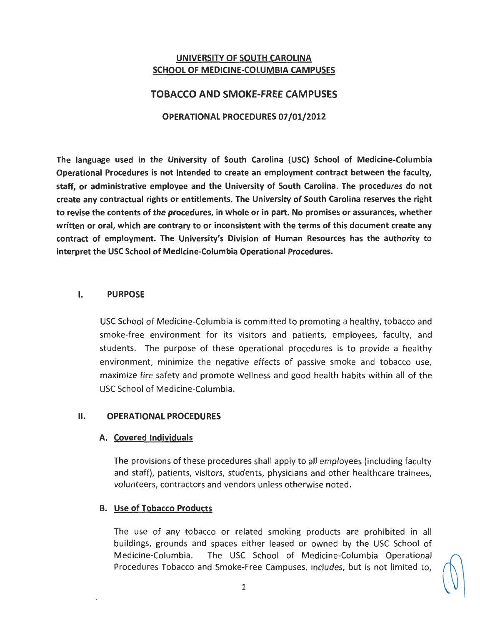## UNIVERSITY OF SOUTH CAROLINA SCHOOL OF MEDICINE-COLUMBIA CAMPUSES

## TOBACCO AND SMOKE-FREE CAMPUSES

## OPERATIONAL PROCEDURES 07 /01/2012

The language used in the University of South Carolina (USC) School of Medicine-Columbia Operational Procedures is not intended to create an employment contract between the faculty, staff, or administrative employee and the University of South Carolina. The procedures do not create any contractual rights or entitlements. The University of South Carolina reserves the right to revise the contents of the procedures, in whole or in part. No promises or assurances, whether written or oral, which are contrary to or inconsistent with the terms of this document create any contract of employment. The University's Division of Human Resources has the authority to interpret the USC School of Medicine-Columbia Operational Procedures.

#### I. PURPOSE

USC School of Medicine-Columbia is committed to promoting a healthy, tobacco and smoke-free environment for its visitors and patients, employees, faculty, and students. The purpose of these operational procedures is to provide a healthy environment, minimize the negative effects of passive smoke and tobacco use, maximize fire safety and promote wellness and good health habits within all of the USC School of Medicine-Columbia.

## II. OPERATIONAL PROCEDURES

#### A. Covered Individuals

The provisions of these procedures shall apply to all employees (including faculty and staff), patients, visitors, students, physicians and other healthcare trainees, volunteers, contractors and vendors unless otherwise noted.

## B. Use of Tobacco Products

The use of any tobacco or related smoking products are prohibited in all buildings, grounds and spaces either leased or owned by the USC School of Medicine-Columbia. The USC School of Medicine-Columbia Operational Procedures Tobacco and Smoke-Free Campuses, includes, but is not limited to,

$$
\mathbb{Q}^{\mathbb{Z}}
$$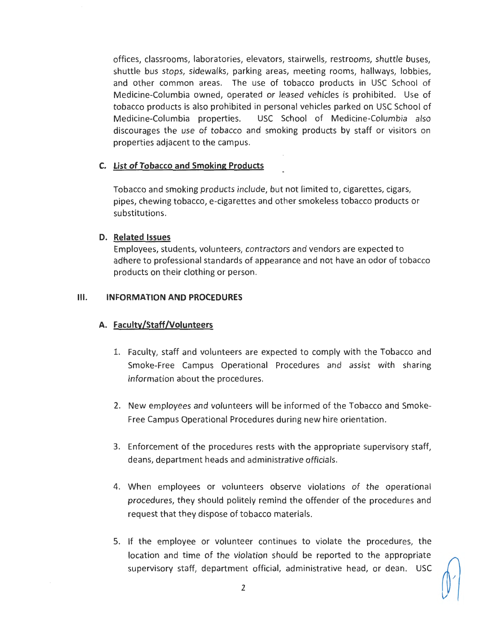offices, classrooms, laboratories, elevators, stairwells, restrooms, shuttle buses, shuttle bus stops, sidewalks, parking areas, meeting rooms, hallways, lobbies, and other common areas. The use of tobacco products in USC School of Medicine-Columbia owned, operated or leased vehicles is prohibited. Use of tobacco products is also prohibited in personal vehicles parked on USC School of Medicine-Columbia properties. USC School of Medicine-Columbia also discourages the use of tobacco and smoking products by staff or visitors on properties adjacent to the campus.

#### **C.** List of Tobacco and Smoking Products

Tobacco and smoking products include, but not limited to, cigarettes, cigars, pipes, chewing tobacco, e-cigarettes and other smokeless tobacco products or substitutions.

#### **D. Related Issues**

Employees, students, volunteers, contractors and vendors are expected to adhere to professional standards of appearance and not have an odor of tobacco products on their clothing or person.

#### **Ill. INFORMATION AND PROCEDURES**

#### **A. Faculty/Staff /Volunteers**

- 1. Faculty, staff and volunteers are expected to comply with the Tobacco and Smoke-Free Campus Operational Procedures and assist with sharing information about the procedures.
- 2. New employees and volunteers will be informed of the Tobacco and Smoke-Free Campus Operational Procedures during new hire orientation .
- 3. Enforcement of the procedures rests with the appropriate supervisory staff, deans, department heads and administrative officials.
- 4. When employees or volunteers observe violations of the operational procedures, they should politely remind the offender of the procedures and request that they dispose of tobacco materials.
- 5. If the employee or volunteer continues to violate the procedures, the location and time of the violation should be reported to the appropriate supervisory staff, department official, administrative head, or dean. USC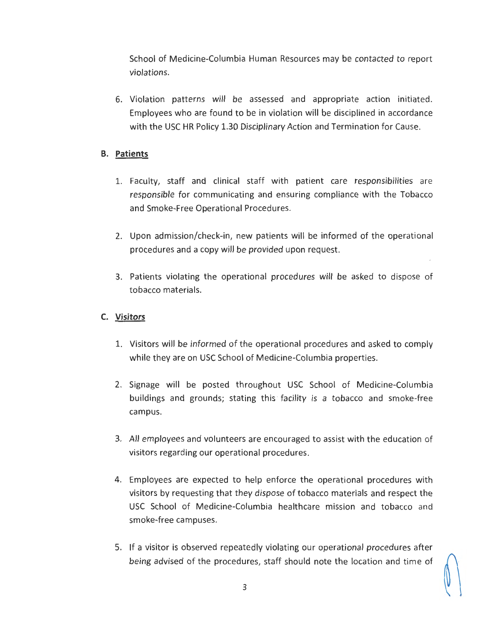School of Medicine-Columbia Human Resources may be contacted to report violations.

6. Violation patterns will be assessed and appropriate action initiated. Employees who are found to be in violation will be disciplined in accordance with the USC HR Policy 1.30 Disciplinary Action and Termination for Cause.

## **B. Patients**

- 1. Faculty, staff and clinical staff with patient care responsibilities are responsible for communicating and ensuring compliance with the Tobacco and Smoke-Free Operational Procedures.
- 2. Upon admission/check-in, new patients will be informed of the operational procedures and a copy will be provided upon request.
- 3. Patients violating the operational procedures will be asked to dispose of tobacco materials.

## **C. Visitors**

- 1. Visitors will be informed of the operational procedures and asked to comply while they are on USC School of Medicine-Columbia properties.
- 2. Signage will be posted throughout USC School of Medicine-Columbia buildings and grounds; stating this · facility is a tobacco and smoke-free campus.
- 3. All employees and volunteers are encouraged to assist with the education of visitors regarding our operational procedures.
- 4. Employees are expected to help enforce the operational procedures with visitors by requesting that they dispose of tobacco materials and respect the USC School of Medicine-Columbia healthcare mission and tobacco and smoke-free campuses.
- 5. If a visitor is observed repeatedly violating our operational procedures after being advised of the procedures, staff should note the location and time of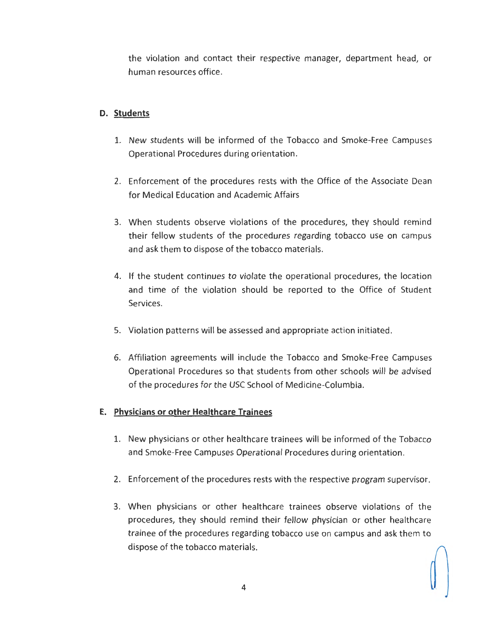the violation and contact their respective manager, department head, or human resources office.

## **D. Students**

- 1. New students will be informed of the Tobacco and Smoke-Free Campuses Operational Procedures during orientation .
- 2. Enforcement of the procedures rests with the Office of the Associate Dean for Medical Education and Academic Affairs
- 3. When students observe violations of the procedures, they should remind their fellow students of the procedures regarding tobacco use on campus and ask them to dispose of the tobacco materials.
- 4. If the student continues to violate the operational procedures, the location and time of the violation should be reported to the Office of Student Services.
- 5. Violation patterns will be assessed and appropriate action initiated.
- 6. Affiliation agreements will include the Tobacco and Smoke-Free Campuses Operational Procedures so that students from other schools will be advised of the procedures for the USC School of Medicine-Columbia.

## **E. Physicians or other Healthcare Trainees**

- 1. New physicians or other healthcare trainees will be informed of the Tobacco and Smoke-Free Campuses Operational Procedures during orientation.
- 2. Enforcement of the procedures rests with the respective program supervisor.
- 3. When physicians or other healthcare trainees observe violations of the procedures, they should remind their fellow physician or other healthcare trainee of the procedures regard ing tobacco use on campus and ask them to dispose of the tobacco materials.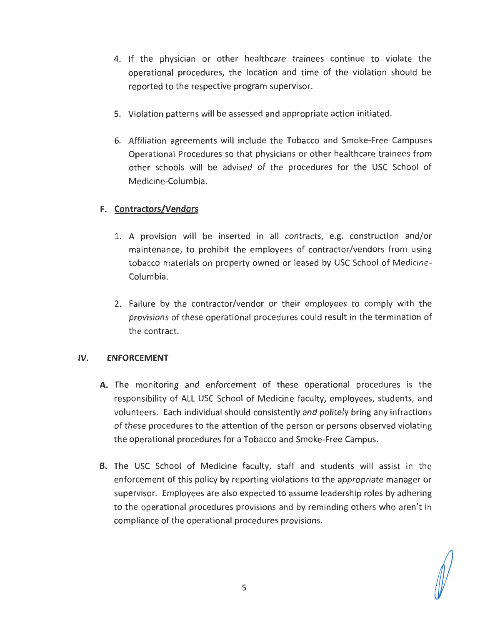- 4. If the physician or other healthcare trainees continue to violate the operational procedures, the location and time of the violation should be reported to the respective program supervisor.
- 5. Violation patterns will be assessed and appropriate action initiated.
- 6. Affiliation agreements will include the Tobacco and Smoke-Free Campuses Operational Procedures so that physicians or other healthcare trainees from other schools will be advised of the procedures for the USC School of Medicine-Columbia.

## **F. Contractors/Vendors**

- 1. A provision will be inserted in all contracts, e.g. construction and/or maintenance, to prohibit the employees of contractor/vendors from using tobacco materials on property owned or leased by USC School of Medicine-Columbia.
- 2. Failure by the contractor/vendor or their employees to comply with the provisions of these operational procedures could result in the termin ation of the contract.

## IV. . **ENFORCEMENT**

- **A.** The monitoring and enforcement of these operational procedures is the responsibility of ALL USC School of Medicine faculty, employees, students, and volunteers. Each individual should consistently and politely bring any infractions of these procedures to the attention of the person or persons observed violating the operational procedures for a Tobacco and Smoke-Free Campus.
- **B.** The USC School of Medicine faculty, staff and students will assist in the enforcement of this policy by reporting violations to the appropriate manager or supervisor. Employees are also expected to assume leadership roles by adhering to the operational procedures provisions and by reminding others who aren't in compliance of the operational procedures provisions.